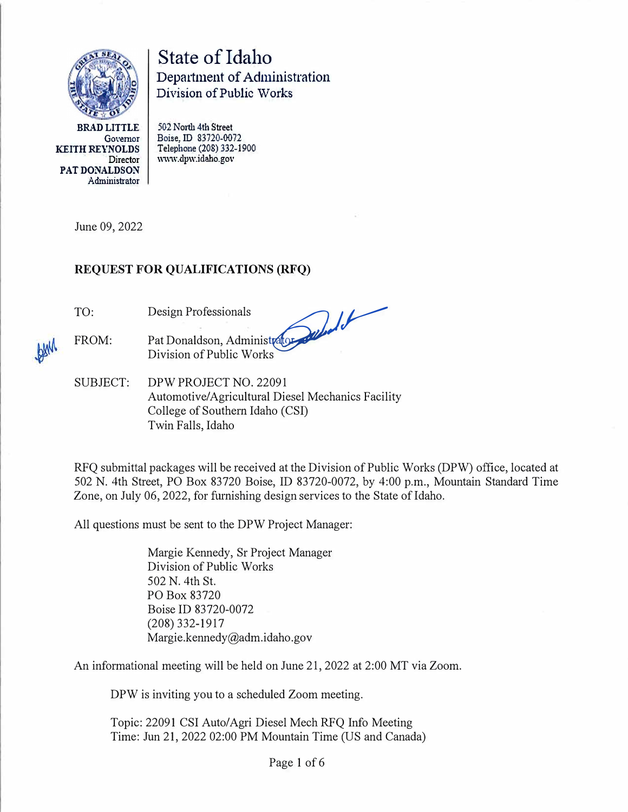

State of Idaho Department of Administration Division of Public Works

**BRAD LITTLE Governor KEITH REYNOLDS**  Director **PAT DONALDSON**  Administrator **502 North 4th Street Boise, ID 83720-0072 Telephone (208) 332-1900**  www.dpw.idaho.gov

June 09, 2022

## **REQUEST FOR QUALIFICATIONS (RFQ)**

TO:

Design Professionals *./J.)�* 

FROM: Pat Donaldson, Administrator Division of Public Works

SUBJECT: DPW PROJECT NO. 22091 Automotive/Agricultural Diesel Mechanics Facility College of Southern Idaho (CSI) Twin Falls, Idaho

RFQ submittal packages will be received at the Division of Public Works (DPW) office, located at 502 N. 4th Street, PO Box 83720 Boise, ID 83720-0072, by 4:00 p.m., Mountain Standard Time Zone, on July 06, 2022, for furnishing design services to the State of Idaho.

All questions must be sent to the DPW Project Manager:

Margie Kennedy, Sr Project Manager Division of Public Works 502 N. 4th St. PO Box 83720 Boise ID 83720-0072 (208) 332-1917 Margie.kennedy@adm.idaho.gov

An informational meeting will be held on June 21, 2022 at 2:00 MT via Zoom.

DPW is inviting you to a scheduled Zoom meeting.

Topic: 22091 CSI Auto/Agri Diesel Mech RFQ Info Meeting Time: Jun 21, 2022 02:00 PM Mountain Time (US and Canada)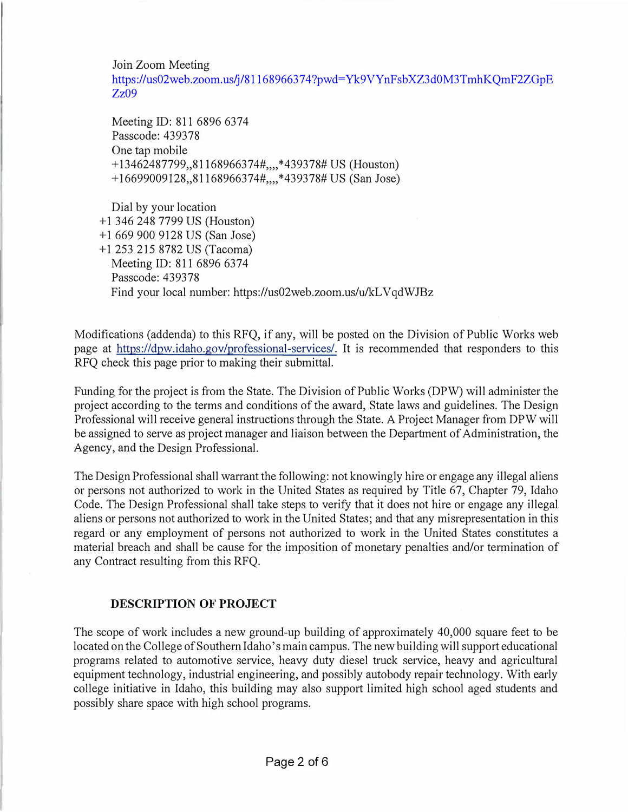Join Zoom Meeting

[https://us02web.zoom.us/j/81168966374?pwd](https://us02web.zoom.us/j/81168966374?pwd=Yk9VYnFsb:XZ3d0M3TmhKQmF2ZGpE Zz09)=Yk9VYnFsbXZ3d0M3TmhKQmF2ZGpE Zz09

Meeting ID: 811 6896 6374 Passcode: 439378 One tap mobile + 13462487799,,81168966374#,,,, \*439378# US (Houston) + 16699009128,,81168966374#,,,,\*439378# US (San Jose)

Dial by your location + 1 346 248 7799 US (Houston) + 1 669 900 9128 US (San Jose) + 1 253 215 8782 US (Tacoma) Meeting ID: 811 6896 6374 Passcode: 439378 Find your local number: https://us02web.zoom.us/u/kL V qdWJBz

Modifications (addenda) to this RFQ, if any, will be posted on the Division of Public Works web page at https://dpw.idaho.gov/professional-services/. It is recommended that responders to this RFQ check this page prior to making their submittal.

Funding for the project is from the State. The Division of Public Works (DPW) will administer the project according to the terms and conditions of the award, State laws and guidelines. The Design Professional will receive general instructions through the State. A Project Manager from DPW will be assigned to serve as project manager and liaison between the Department of Administration, the Agency, and the Design Professional.

The Design Professional shall warrant the following: not knowingly hire or engage any illegal aliens or persons not authorized to work in the United States as required by Title 67, Chapter 79, Idaho Code. The Design Professional shall take steps to verify that it does not hire or engage any illegal aliens or persons not authorized to work in the United States; and that any misrepresentation in this regard or any employment of persons not authorized to work in the United States constitutes a material breach and shall be cause for the imposition of monetary penalties and/or termination of any Contract resulting from this RFQ.

### **DESCRIPTION OF PROJECT**

The scope of work includes a new ground-up building of approximately 40,000 square feet to be located on the College of Southern Idaho's main campus. The new building will support educational programs related to automotive service, heavy duty diesel truck service, heavy and agricultural equipment technology, industrial engineering, and possibly autobody repair technology. With early college initiative in Idaho, this building may also support limited high school aged students and possibly share space with high school programs.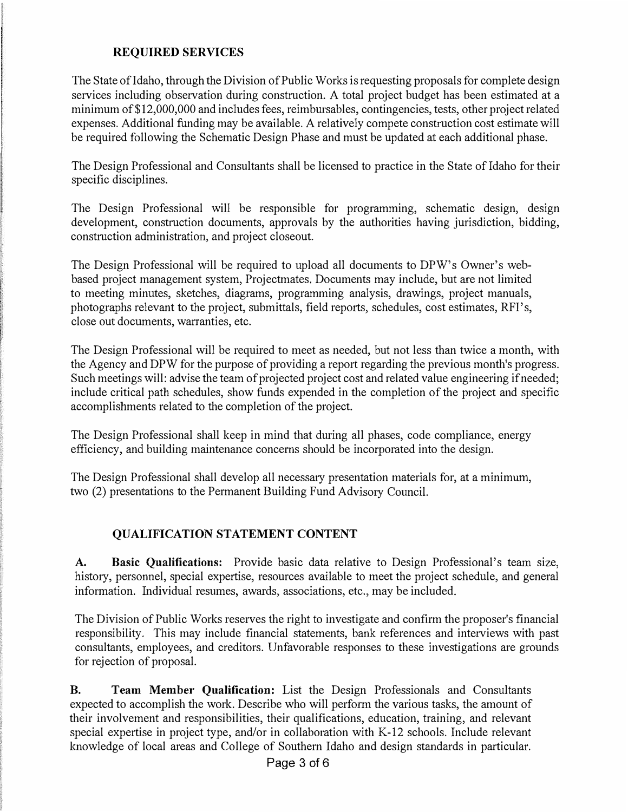### **REQUIRED SERVICES**

The State of Idaho, through the Division of Public Works is requesting proposals for complete design services including observation during construction. A total project budget has been estimated at a minimum of \$12,000,000 and includes fees, reimbursables, contingencies, tests, other project related expenses. Additional funding may be available. A relatively compete construction cost estimate will be required following the Schematic Design Phase and must be updated at each additional phase.

The Design Professional and Consultants shall be licensed to practice in the State of Idaho for their specific disciplines.

The Design Professional will be responsible for programming, schematic design, design development, construction documents, approvals by the authorities having jurisdiction, bidding, construction administration, and project closeout.

The Design Professional will be required to upload all documents to DPW's Owner's webbased project management system, Projectmates. Documents may include, but are not limited to meeting minutes, sketches, diagrams, programming analysis, drawings, project manuals, photographs relevant to the project, submittals, field reports, schedules, cost estimates, RFI's, close out documents, warranties, etc.

The Design Professional will be required to meet as needed, but not less than twice a month, with the Agency and DPW for the purpose of providing a report regarding the previous month's progress. Such meetings will: advise the team of projected project cost and related value engineering if needed; include critical path schedules, show funds expended in the completion of the project and specific accomplishments related to the completion of the project.

The Design Professional shall keep in mind that during all phases, code compliance, energy efficiency, and building maintenance concerns should be incorporated into the design.

The Design Professional shall develop all necessary presentation materials for, at a minimum, two (2) presentations to the Permanent Building Fund Advisory Council.

### **QUALIFICATION STATEMENT CONTENT**

**A. Basic Qualifications:** Provide basic data relative to Design Professional's team size, history, personnel, special expertise, resources available to meet the project schedule, and general information. Individual resumes, awards, associations, etc., may be included.

The Division of Public Works reserves the right to investigate and confirm the proposer's financial responsibility. This may include financial statements, bank references and interviews with past consultants, employees, and creditors. Unfavorable responses to these investigations are grounds for rejection of proposal.

**B. Team Member Qualification:** List the Design Professionals and Consultants expected to accomplish the work. Describe who will perform the various tasks, the amount of their involvement and responsibilities, their qualifications, education, training, and relevant special expertise in project type, and/or in collaboration with K-12 schools. Include relevant knowledge of local areas and College of Southern Idaho and design standards in particular.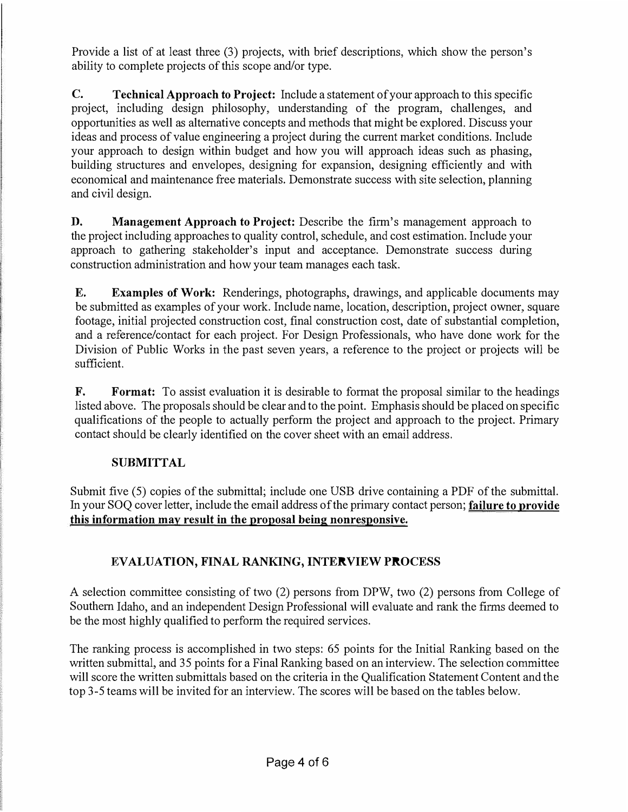Provide a list of at least three (3) projects, with brief descriptions, which show the person's ability to complete projects of this scope and/or type.

**C. Technical Approach to Project:** Include a statement of your approach to this specific project, including design philosophy, understanding of the program, challenges, and opportunities as well as alternative concepts and methods that might be explored. Discuss your ideas and process of value engineering a project during the current market conditions. Include your approach to design within budget and how you will approach ideas such as phasing, building structures and envelopes, designing for expansion, designing efficiently and with economical and maintenance free materials. Demonstrate success with site selection, planning and civil design.

**D. Management Approach to Project:** Describe the firm's management approach to the project including approaches to quality control, schedule, and cost estimation. Include your approach to gathering stakeholder's input and acceptance. Demonstrate success during construction administration and how your team manages each task.

**E. Examples of Work:** Renderings, photographs, drawings, and applicable documents may be submitted as examples of your work. Include name, location, description, project owner, square footage, initial projected construction cost, final construction cost, date of substantial completion, and a reference/contact for each project. For Design Professionals, who have done work for the Division of Public Works in the past seven years, a reference to the project or projects will be sufficient.

**F. Format:** To assist evaluation it is desirable to format the proposal similar to the headings listed above. The proposals should be clear and to the point. Emphasis should be placed on specific qualifications of the people to actually perform the project and approach to the project. Primary contact should be clearly identified on the cover sheet with an email address.

## **SUBMITTAL**

Submit five (5) copies of the submittal; include one USB drive containing a PDF of the submittal. In your SOQ cover letter, include the email address of the primary contact person; **failure to provide this information may result in the proposal being nonresponsive.** 

# **EVALUATION, FINAL RANKING, INTERVIEW PROCESS**

A selection committee consisting of two (2) persons from DPW, two (2) persons from College of Southern Idaho, and an independent Design Professional will evaluate and rank the firms deemed to be the most highly qualified to perform the required services.

The ranking process is accomplished in two steps: 65 points for the Initial Ranking based on the written submittal, and 35 points for a Final Ranking based on an interview. The selection committee will score the written submittals based on the criteria in the Qualification Statement Content and the top 3-5 teams will be invited for an interview. The scores will be based on the tables below.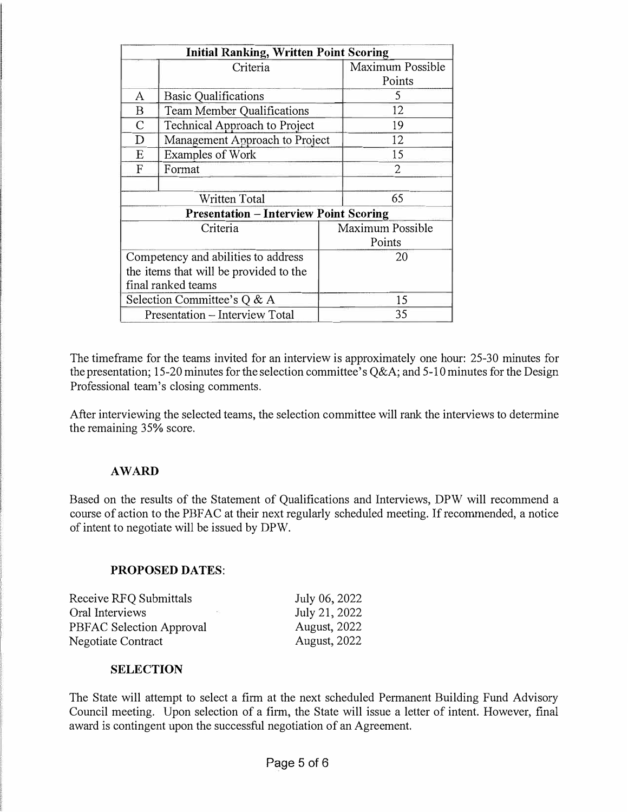| <b>Initial Ranking, Written Point Scoring</b>                                 |                                      |                            |                            |  |
|-------------------------------------------------------------------------------|--------------------------------------|----------------------------|----------------------------|--|
|                                                                               | Criteria                             |                            | Maximum Possible<br>Points |  |
| A                                                                             | <b>Basic Qualifications</b>          |                            | 5                          |  |
| B                                                                             | <b>Team Member Qualifications</b>    |                            | 12                         |  |
| $\mathcal{C}$                                                                 | <b>Technical Approach to Project</b> |                            | 19                         |  |
| D                                                                             | Management Approach to Project       |                            | 12                         |  |
| E                                                                             | <b>Examples of Work</b>              |                            | 15                         |  |
| F                                                                             | Format                               |                            | $\overline{2}$             |  |
| Written Total                                                                 |                                      |                            | 65                         |  |
| <b>Presentation - Interview Point Scoring</b>                                 |                                      |                            |                            |  |
| Criteria                                                                      |                                      | Maximum Possible<br>Points |                            |  |
| Competency and abilities to address<br>the items that will be provided to the |                                      | 20                         |                            |  |
|                                                                               | final ranked teams                   |                            |                            |  |
| Selection Committee's Q & A                                                   |                                      | 15                         |                            |  |
| Presentation - Interview Total                                                |                                      | 35                         |                            |  |

The timeframe for the teams invited for an interview is approximately one hour: 25-30 minutes for the presentation; 15-20 minutes for the selection committee's Q&A; and 5-10 minutes for the Design Professional team's closing comments.

After interviewing the selected teams, the selection committee will rank the interviews to determine the remaining 35% score.

### **AWARD**

Based on the results of the Statement of Qualifications and Interviews, DPW will recommend a course of action to the PBFAC at their next regularly scheduled meeting. If recommended, a notice of intent to negotiate will be issued by DPW.

### **PROPOSED DATES:**

| Receive RFQ Submittals   | July 06, 2022       |
|--------------------------|---------------------|
| Oral Interviews          | July 21, 2022       |
| PBFAC Selection Approval | <b>August, 2022</b> |
| Negotiate Contract       | <b>August, 2022</b> |

#### **SELECTION**

The State will attempt to select a firm at the next scheduled Permanent Building Fund Advisory Council meeting. Upon selection of a firm, the State will issue a letter of intent. However, final award is contingent upon the successful negotiation of an Agreement.